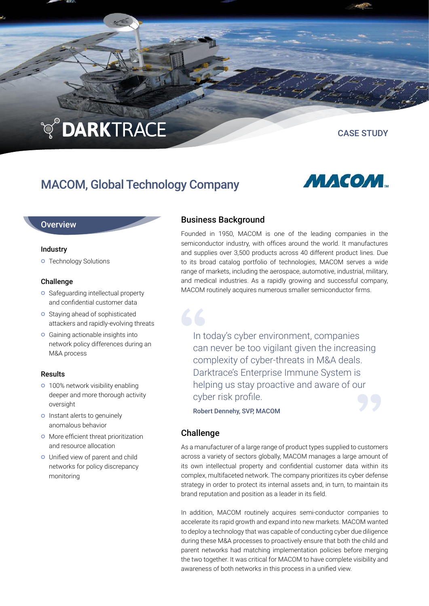# **TO DARKTRACE**

CASE STUDY

# MACOM, Global Technology Company



# **Overview**

#### Industry

**o** Technology Solutions

## Challenge

- **o** Safeguarding intellectual property and confidential customer data
- **O** Staving ahead of sophisticated attackers and rapidly-evolving threats
- Gaining actionable insights into network policy differences during an M&A process

## Results

- **o** 100% network visibility enabling deeper and more thorough activity oversight
- o Instant alerts to genuinely anomalous behavior
- **O** More efficient threat prioritization and resource allocation
- Unified view of parent and child networks for policy discrepancy monitoring

# Business Background

Founded in 1950, MACOM is one of the leading companies in the semiconductor industry, with offices around the world. It manufactures and supplies over 3,500 products across 40 different product lines. Due to its broad catalog portfolio of technologies, MACOM serves a wide range of markets, including the aerospace, automotive, industrial, military, and medical industries. As a rapidly growing and successful company, MACOM routinely acquires numerous smaller semiconductor firms.

In today's cyber environment, companies can never be too vigilant given the increasing complexity of cyber-threats in M&A deals. Darktrace's Enterprise Immune System is helping us stay proactive and aware of our cyber risk profile.

Robert Dennehy, SVP, MACOM

# Challenge

As a manufacturer of a large range of product types supplied to customers across a variety of sectors globally, MACOM manages a large amount of its own intellectual property and confidential customer data within its complex, multifaceted network. The company prioritizes its cyber defense strategy in order to protect its internal assets and, in turn, to maintain its brand reputation and position as a leader in its field.

In addition, MACOM routinely acquires semi-conductor companies to accelerate its rapid growth and expand into new markets. MACOM wanted to deploy a technology that was capable of conducting cyber due diligence during these M&A processes to proactively ensure that both the child and parent networks had matching implementation policies before merging the two together. It was critical for MACOM to have complete visibility and awareness of both networks in this process in a unified view.